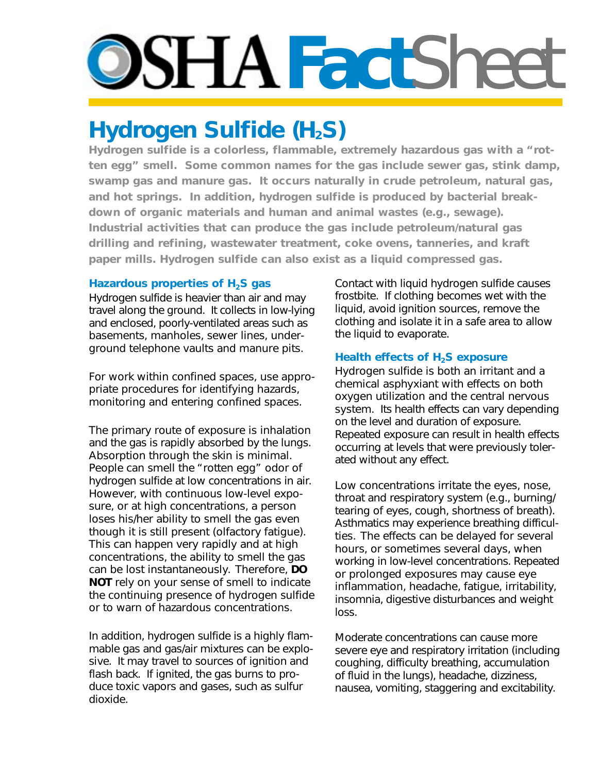# **DSHAFact**Sheet

## **Hydrogen Sulfide (H<sub>2</sub>S)**

**Hydrogen sulfide is a colorless, flammable, extremely hazardous gas with a "rotten egg" smell. Some common names for the gas include sewer gas, stink damp, swamp gas and manure gas. It occurs naturally in crude petroleum, natural gas, and hot springs. In addition, hydrogen sulfide is produced by bacterial breakdown of organic materials and human and animal wastes (e.g., sewage). Industrial activities that can produce the gas include petroleum/natural gas drilling and refining, wastewater treatment, coke ovens, tanneries, and kraft paper mills. Hydrogen sulfide can also exist as a liquid compressed gas.**

#### Hazardous properties of H<sub>2</sub>S gas

Hydrogen sulfide is heavier than air and may travel along the ground. It collects in low-lying and enclosed, poorly-ventilated areas such as basements, manholes, sewer lines, underground telephone vaults and manure pits.

For work within confined spaces, use appropriate procedures for identifying hazards, monitoring and entering confined spaces.

The primary route of exposure is inhalation and the gas is rapidly absorbed by the lungs. Absorption through the skin is minimal. People can smell the "rotten egg" odor of hydrogen sulfide at low concentrations in air. However, with continuous low-level exposure, or at high concentrations, a person loses his/her ability to smell the gas even though it is still present (olfactory fatigue). This can happen very rapidly and at high concentrations, the ability to smell the gas can be lost instantaneously. Therefore, **DO NOT** rely on your sense of smell to indicate the continuing presence of hydrogen sulfide or to warn of hazardous concentrations.

In addition, hydrogen sulfide is a highly flammable gas and gas/air mixtures can be explosive. It may travel to sources of ignition and flash back. If ignited, the gas burns to produce toxic vapors and gases, such as sulfur dioxide.

Contact with liquid hydrogen sulfide causes frostbite. If clothing becomes wet with the liquid, avoid ignition sources, remove the clothing and isolate it in a safe area to allow the liquid to evaporate.

### **Health effects of H<sub>2</sub>S exposure**

Hydrogen sulfide is both an irritant and a chemical asphyxiant with effects on both oxygen utilization and the central nervous system. Its health effects can vary depending on the level and duration of exposure. Repeated exposure can result in health effects occurring at levels that were previously tolerated without any effect.

Low concentrations irritate the eyes, nose, throat and respiratory system (e.g., burning/ tearing of eyes, cough, shortness of breath). Asthmatics may experience breathing difficulties. The effects can be delayed for several hours, or sometimes several days, when working in low-level concentrations. Repeated or prolonged exposures may cause eye inflammation, headache, fatigue, irritability, insomnia, digestive disturbances and weight loss.

Moderate concentrations can cause more severe eye and respiratory irritation (including coughing, difficulty breathing, accumulation of fluid in the lungs), headache, dizziness, nausea, vomiting, staggering and excitability.